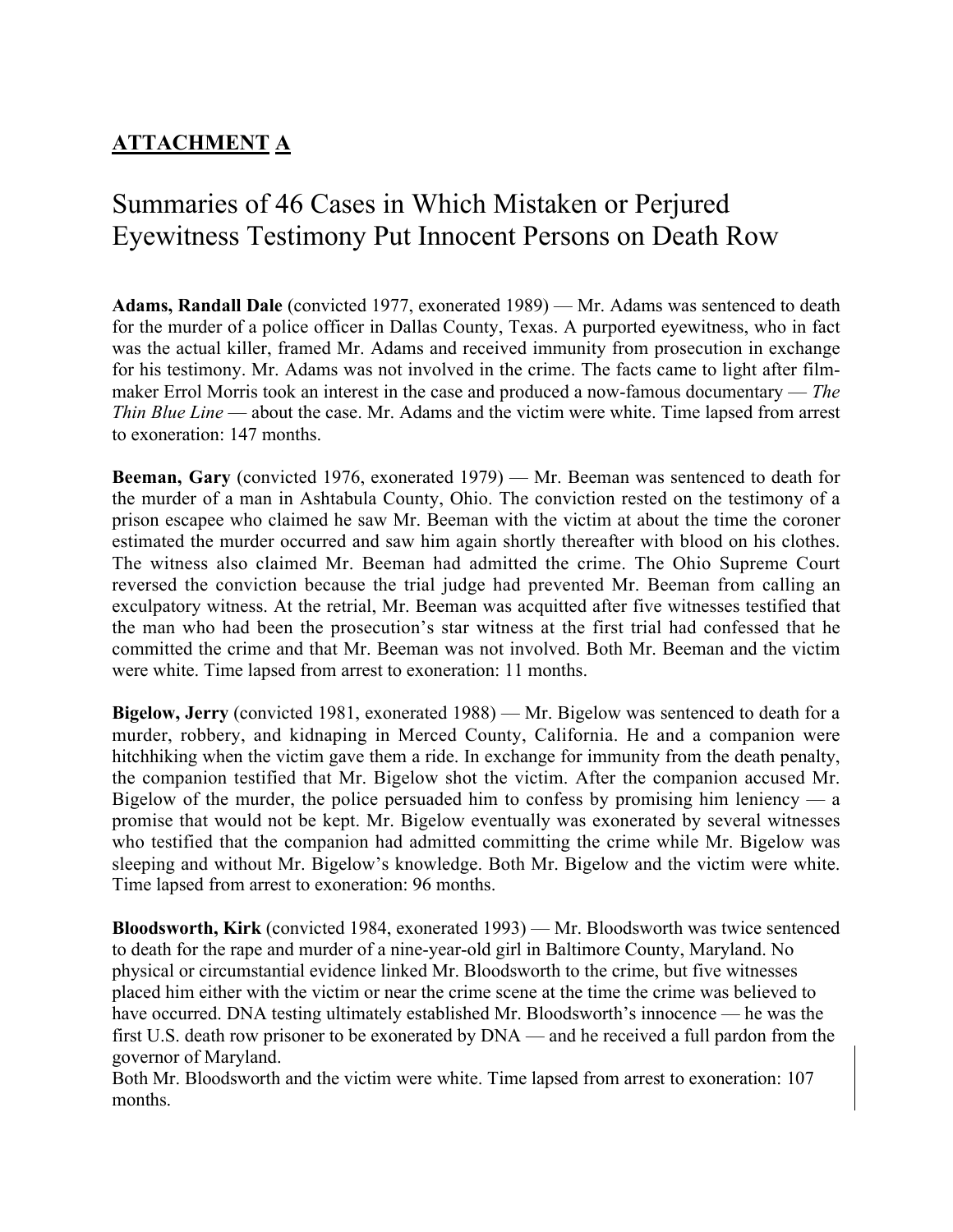# Summaries of 46 Cases in Which Mistaken or Perjured Eyewitness Testimony Put Innocent Persons on Death Row

**Adams, Randall Dale** (convicted 1977, exonerated 1989) — Mr. Adams was sentenced to death for the murder of a police officer in Dallas County, Texas. A purported eyewitness, who in fact was the actual killer, framed Mr. Adams and received immunity from prosecution in exchange for his testimony. Mr. Adams was not involved in the crime. The facts came to light after filmmaker Errol Morris took an interest in the case and produced a now-famous documentary — *The Thin Blue Line* — about the case. Mr. Adams and the victim were white. Time lapsed from arrest to exoneration: 147 months.

**Beeman, Gary** (convicted 1976, exonerated 1979) — Mr. Beeman was sentenced to death for the murder of a man in Ashtabula County, Ohio. The conviction rested on the testimony of a prison escapee who claimed he saw Mr. Beeman with the victim at about the time the coroner estimated the murder occurred and saw him again shortly thereafter with blood on his clothes. The witness also claimed Mr. Beeman had admitted the crime. The Ohio Supreme Court reversed the conviction because the trial judge had prevented Mr. Beeman from calling an exculpatory witness. At the retrial, Mr. Beeman was acquitted after five witnesses testified that the man who had been the prosecution's star witness at the first trial had confessed that he committed the crime and that Mr. Beeman was not involved. Both Mr. Beeman and the victim were white. Time lapsed from arrest to exoneration: 11 months.

**Bigelow, Jerry** (convicted 1981, exonerated 1988) — Mr. Bigelow was sentenced to death for a murder, robbery, and kidnaping in Merced County, California. He and a companion were hitchhiking when the victim gave them a ride. In exchange for immunity from the death penalty, the companion testified that Mr. Bigelow shot the victim. After the companion accused Mr. Bigelow of the murder, the police persuaded him to confess by promising him leniency  $-$  a promise that would not be kept. Mr. Bigelow eventually was exonerated by several witnesses who testified that the companion had admitted committing the crime while Mr. Bigelow was sleeping and without Mr. Bigelow's knowledge. Both Mr. Bigelow and the victim were white. Time lapsed from arrest to exoneration: 96 months.

**Bloodsworth, Kirk** (convicted 1984, exonerated 1993) — Mr. Bloodsworth was twice sentenced to death for the rape and murder of a nine-year-old girl in Baltimore County, Maryland. No physical or circumstantial evidence linked Mr. Bloodsworth to the crime, but five witnesses placed him either with the victim or near the crime scene at the time the crime was believed to have occurred. DNA testing ultimately established Mr. Bloodsworth's innocence — he was the first U.S. death row prisoner to be exonerated by DNA — and he received a full pardon from the governor of Maryland.

Both Mr. Bloodsworth and the victim were white. Time lapsed from arrest to exoneration: 107 months.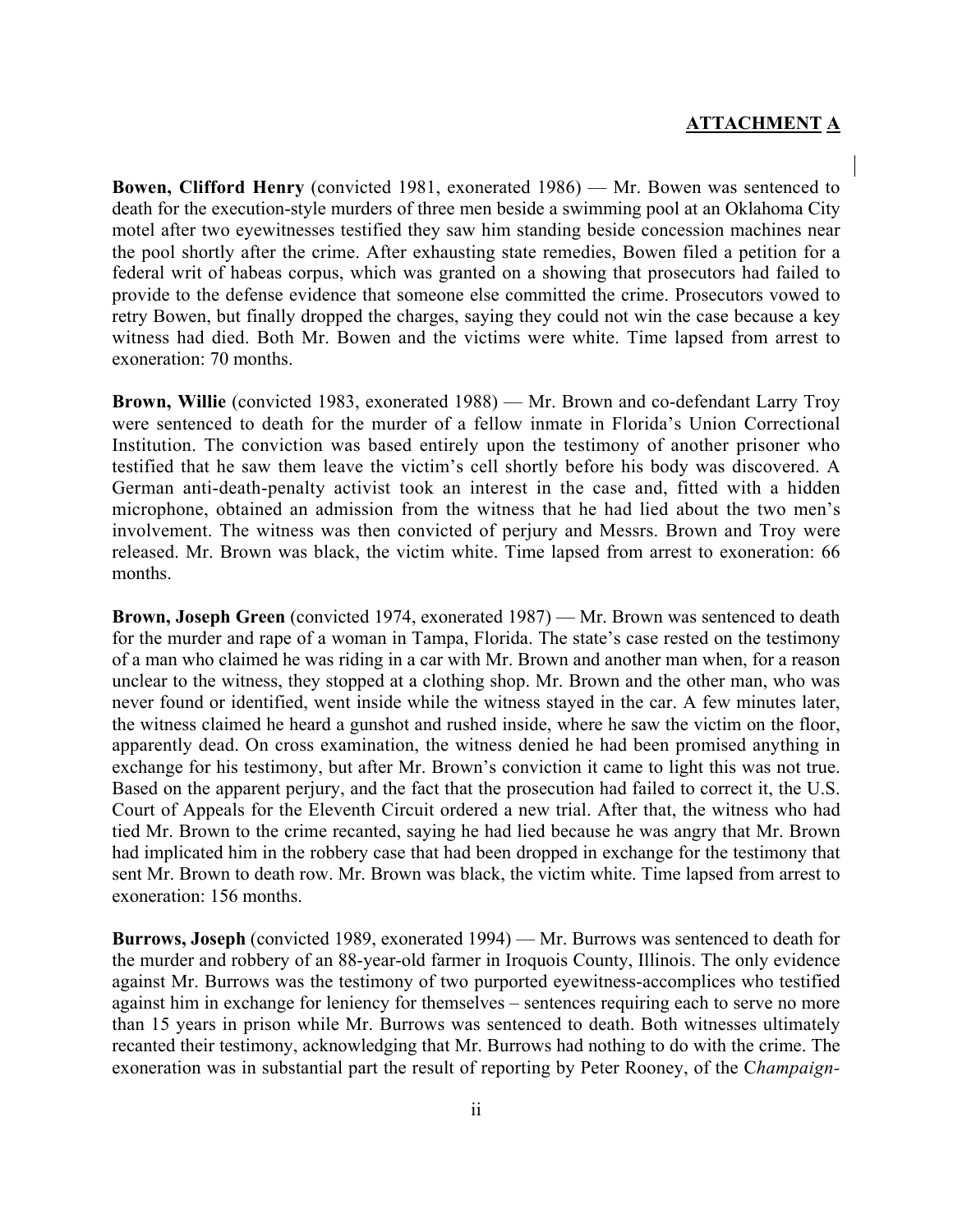**Bowen, Clifford Henry** (convicted 1981, exonerated 1986) — Mr. Bowen was sentenced to death for the execution-style murders of three men beside a swimming pool at an Oklahoma City motel after two eyewitnesses testified they saw him standing beside concession machines near the pool shortly after the crime. After exhausting state remedies, Bowen filed a petition for a federal writ of habeas corpus, which was granted on a showing that prosecutors had failed to provide to the defense evidence that someone else committed the crime. Prosecutors vowed to retry Bowen, but finally dropped the charges, saying they could not win the case because a key witness had died. Both Mr. Bowen and the victims were white. Time lapsed from arrest to exoneration: 70 months.

**Brown, Willie** (convicted 1983, exonerated 1988) — Mr. Brown and co-defendant Larry Troy were sentenced to death for the murder of a fellow inmate in Florida's Union Correctional Institution. The conviction was based entirely upon the testimony of another prisoner who testified that he saw them leave the victim's cell shortly before his body was discovered. A German anti-death-penalty activist took an interest in the case and, fitted with a hidden microphone, obtained an admission from the witness that he had lied about the two men's involvement. The witness was then convicted of perjury and Messrs. Brown and Troy were released. Mr. Brown was black, the victim white. Time lapsed from arrest to exoneration: 66 months.

**Brown, Joseph Green** (convicted 1974, exonerated 1987) — Mr. Brown was sentenced to death for the murder and rape of a woman in Tampa, Florida. The state's case rested on the testimony of a man who claimed he was riding in a car with Mr. Brown and another man when, for a reason unclear to the witness, they stopped at a clothing shop. Mr. Brown and the other man, who was never found or identified, went inside while the witness stayed in the car. A few minutes later, the witness claimed he heard a gunshot and rushed inside, where he saw the victim on the floor, apparently dead. On cross examination, the witness denied he had been promised anything in exchange for his testimony, but after Mr. Brown's conviction it came to light this was not true. Based on the apparent perjury, and the fact that the prosecution had failed to correct it, the U.S. Court of Appeals for the Eleventh Circuit ordered a new trial. After that, the witness who had tied Mr. Brown to the crime recanted, saying he had lied because he was angry that Mr. Brown had implicated him in the robbery case that had been dropped in exchange for the testimony that sent Mr. Brown to death row. Mr. Brown was black, the victim white. Time lapsed from arrest to exoneration: 156 months.

**Burrows, Joseph** (convicted 1989, exonerated 1994) — Mr. Burrows was sentenced to death for the murder and robbery of an 88-year-old farmer in Iroquois County, Illinois. The only evidence against Mr. Burrows was the testimony of two purported eyewitness-accomplices who testified against him in exchange for leniency for themselves – sentences requiring each to serve no more than 15 years in prison while Mr. Burrows was sentenced to death. Both witnesses ultimately recanted their testimony, acknowledging that Mr. Burrows had nothing to do with the crime. The exoneration was in substantial part the result of reporting by Peter Rooney, of the C*hampaign-*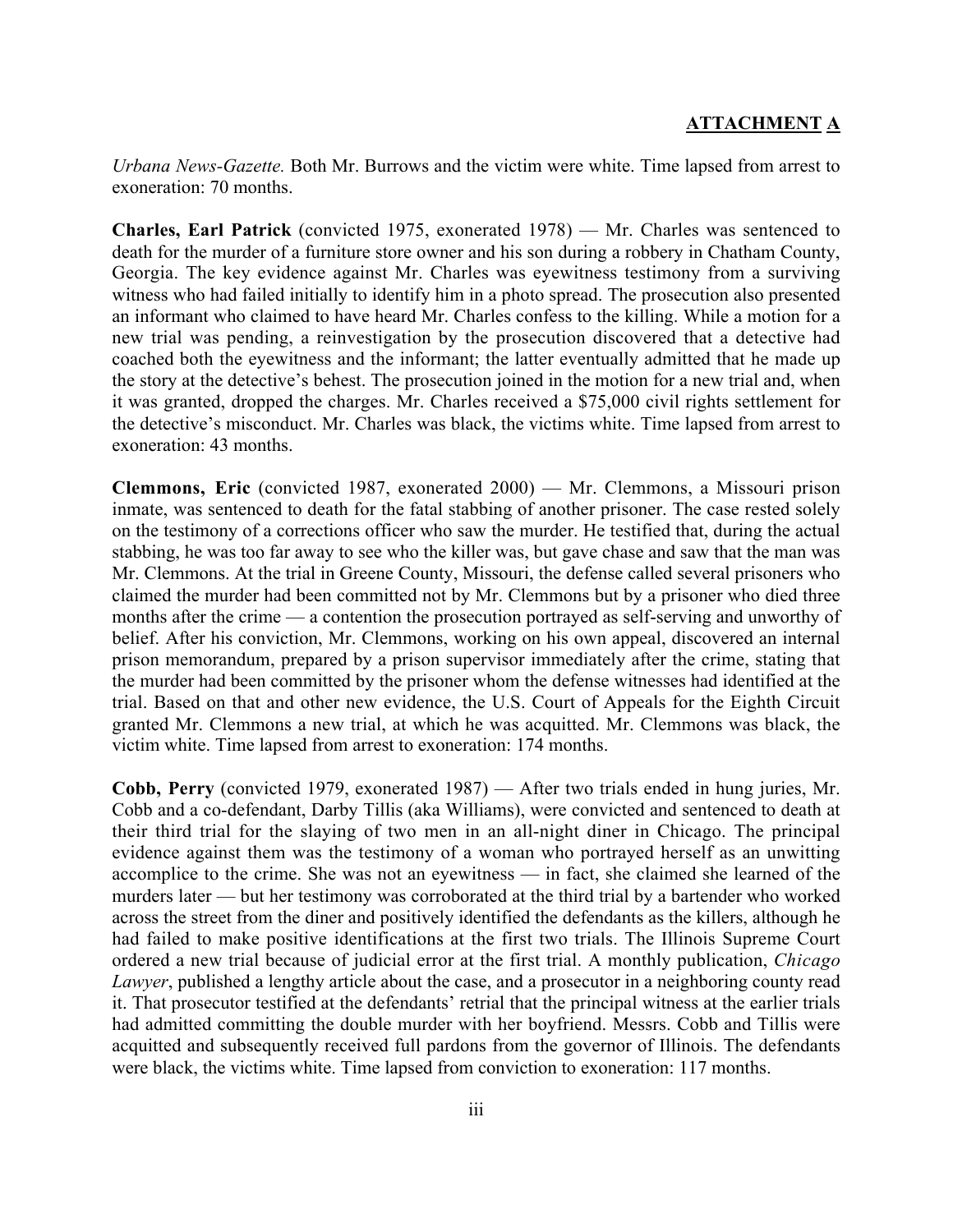*Urbana News-Gazette.* Both Mr. Burrows and the victim were white. Time lapsed from arrest to exoneration: 70 months.

**Charles, Earl Patrick** (convicted 1975, exonerated 1978) — Mr. Charles was sentenced to death for the murder of a furniture store owner and his son during a robbery in Chatham County, Georgia. The key evidence against Mr. Charles was eyewitness testimony from a surviving witness who had failed initially to identify him in a photo spread. The prosecution also presented an informant who claimed to have heard Mr. Charles confess to the killing. While a motion for a new trial was pending, a reinvestigation by the prosecution discovered that a detective had coached both the eyewitness and the informant; the latter eventually admitted that he made up the story at the detective's behest. The prosecution joined in the motion for a new trial and, when it was granted, dropped the charges. Mr. Charles received a \$75,000 civil rights settlement for the detective's misconduct. Mr. Charles was black, the victims white. Time lapsed from arrest to exoneration: 43 months.

**Clemmons, Eric** (convicted 1987, exonerated 2000) — Mr. Clemmons, a Missouri prison inmate, was sentenced to death for the fatal stabbing of another prisoner. The case rested solely on the testimony of a corrections officer who saw the murder. He testified that, during the actual stabbing, he was too far away to see who the killer was, but gave chase and saw that the man was Mr. Clemmons. At the trial in Greene County, Missouri, the defense called several prisoners who claimed the murder had been committed not by Mr. Clemmons but by a prisoner who died three months after the crime — a contention the prosecution portrayed as self-serving and unworthy of belief. After his conviction, Mr. Clemmons, working on his own appeal, discovered an internal prison memorandum, prepared by a prison supervisor immediately after the crime, stating that the murder had been committed by the prisoner whom the defense witnesses had identified at the trial. Based on that and other new evidence, the U.S. Court of Appeals for the Eighth Circuit granted Mr. Clemmons a new trial, at which he was acquitted. Mr. Clemmons was black, the victim white. Time lapsed from arrest to exoneration: 174 months.

**Cobb, Perry** (convicted 1979, exonerated 1987) — After two trials ended in hung juries, Mr. Cobb and a co-defendant, Darby Tillis (aka Williams), were convicted and sentenced to death at their third trial for the slaying of two men in an all-night diner in Chicago. The principal evidence against them was the testimony of a woman who portrayed herself as an unwitting accomplice to the crime. She was not an eyewitness — in fact, she claimed she learned of the murders later — but her testimony was corroborated at the third trial by a bartender who worked across the street from the diner and positively identified the defendants as the killers, although he had failed to make positive identifications at the first two trials. The Illinois Supreme Court ordered a new trial because of judicial error at the first trial. A monthly publication, *Chicago Lawyer*, published a lengthy article about the case, and a prosecutor in a neighboring county read it. That prosecutor testified at the defendants' retrial that the principal witness at the earlier trials had admitted committing the double murder with her boyfriend. Messrs. Cobb and Tillis were acquitted and subsequently received full pardons from the governor of Illinois. The defendants were black, the victims white. Time lapsed from conviction to exoneration: 117 months.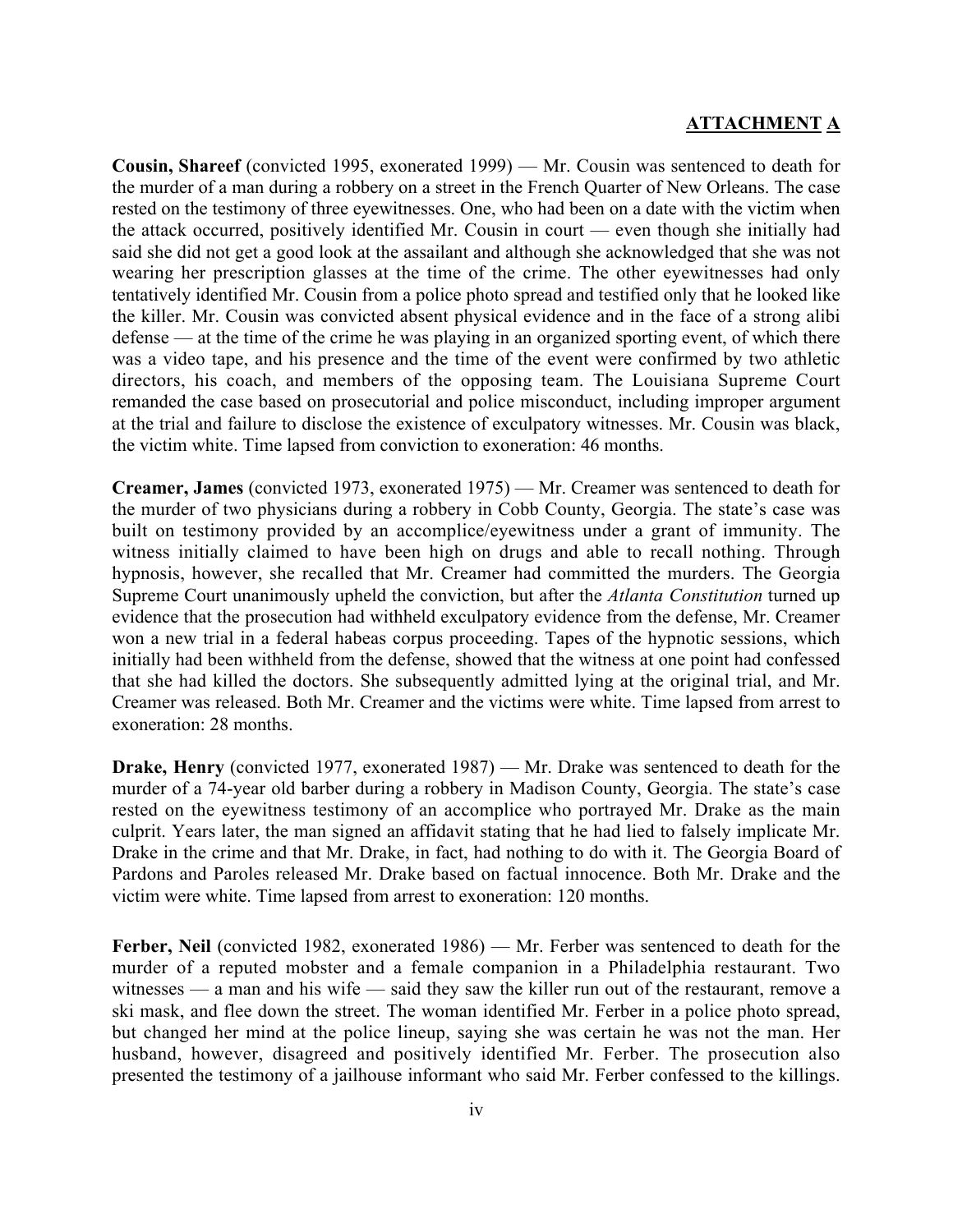**Cousin, Shareef** (convicted 1995, exonerated 1999) — Mr. Cousin was sentenced to death for the murder of a man during a robbery on a street in the French Quarter of New Orleans. The case rested on the testimony of three eyewitnesses. One, who had been on a date with the victim when the attack occurred, positively identified Mr. Cousin in court — even though she initially had said she did not get a good look at the assailant and although she acknowledged that she was not wearing her prescription glasses at the time of the crime. The other eyewitnesses had only tentatively identified Mr. Cousin from a police photo spread and testified only that he looked like the killer. Mr. Cousin was convicted absent physical evidence and in the face of a strong alibi defense — at the time of the crime he was playing in an organized sporting event, of which there was a video tape, and his presence and the time of the event were confirmed by two athletic directors, his coach, and members of the opposing team. The Louisiana Supreme Court remanded the case based on prosecutorial and police misconduct, including improper argument at the trial and failure to disclose the existence of exculpatory witnesses. Mr. Cousin was black, the victim white. Time lapsed from conviction to exoneration: 46 months.

**Creamer, James** (convicted 1973, exonerated 1975) — Mr. Creamer was sentenced to death for the murder of two physicians during a robbery in Cobb County, Georgia. The state's case was built on testimony provided by an accomplice/eyewitness under a grant of immunity. The witness initially claimed to have been high on drugs and able to recall nothing. Through hypnosis, however, she recalled that Mr. Creamer had committed the murders. The Georgia Supreme Court unanimously upheld the conviction, but after the *Atlanta Constitution* turned up evidence that the prosecution had withheld exculpatory evidence from the defense, Mr. Creamer won a new trial in a federal habeas corpus proceeding. Tapes of the hypnotic sessions, which initially had been withheld from the defense, showed that the witness at one point had confessed that she had killed the doctors. She subsequently admitted lying at the original trial, and Mr. Creamer was released. Both Mr. Creamer and the victims were white. Time lapsed from arrest to exoneration: 28 months.

**Drake, Henry** (convicted 1977, exonerated 1987) — Mr. Drake was sentenced to death for the murder of a 74-year old barber during a robbery in Madison County, Georgia. The state's case rested on the eyewitness testimony of an accomplice who portrayed Mr. Drake as the main culprit. Years later, the man signed an affidavit stating that he had lied to falsely implicate Mr. Drake in the crime and that Mr. Drake, in fact, had nothing to do with it. The Georgia Board of Pardons and Paroles released Mr. Drake based on factual innocence. Both Mr. Drake and the victim were white. Time lapsed from arrest to exoneration: 120 months.

**Ferber, Neil** (convicted 1982, exonerated 1986) — Mr. Ferber was sentenced to death for the murder of a reputed mobster and a female companion in a Philadelphia restaurant. Two witnesses — a man and his wife — said they saw the killer run out of the restaurant, remove a ski mask, and flee down the street. The woman identified Mr. Ferber in a police photo spread, but changed her mind at the police lineup, saying she was certain he was not the man. Her husband, however, disagreed and positively identified Mr. Ferber. The prosecution also presented the testimony of a jailhouse informant who said Mr. Ferber confessed to the killings.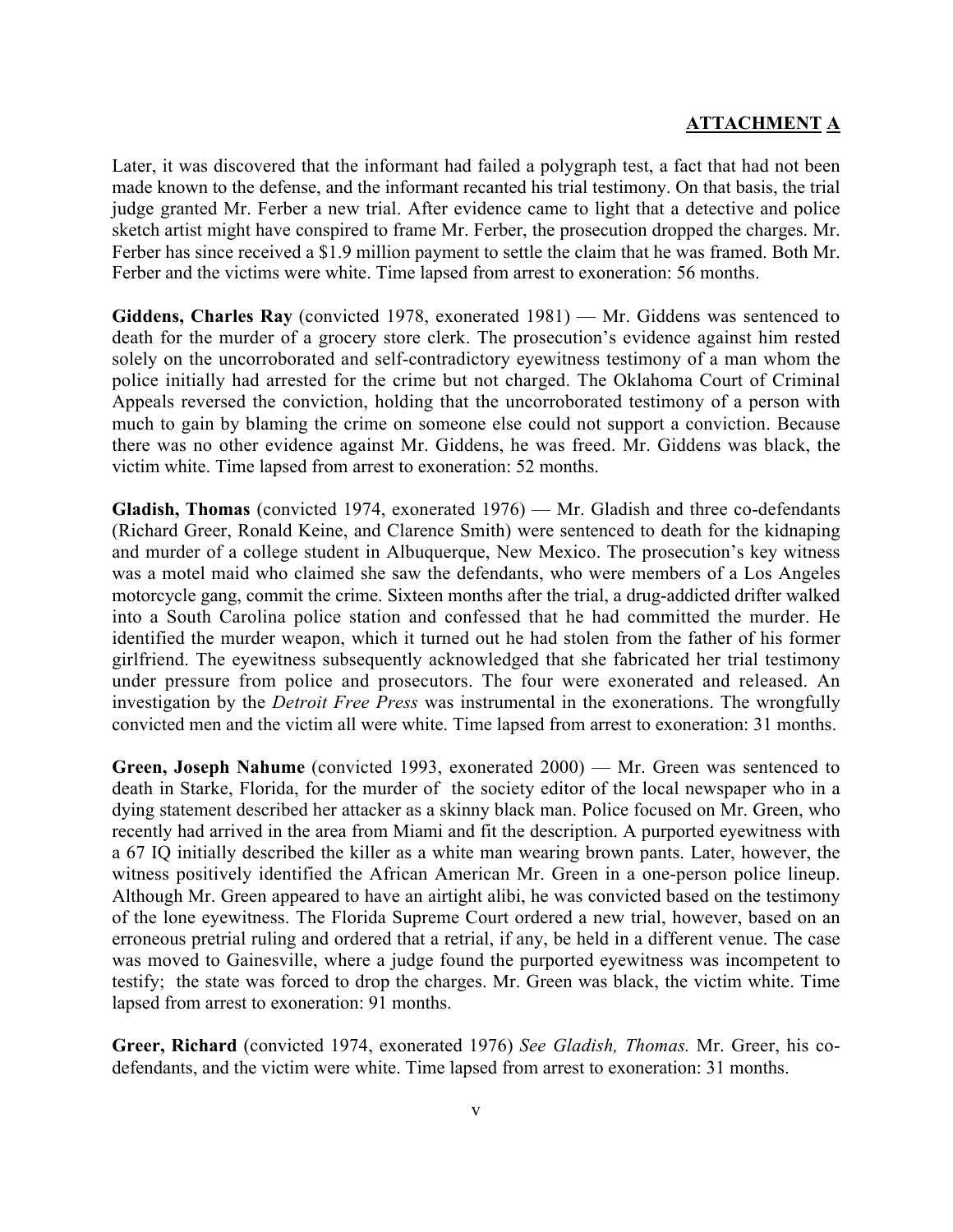Later, it was discovered that the informant had failed a polygraph test, a fact that had not been made known to the defense, and the informant recanted his trial testimony. On that basis, the trial judge granted Mr. Ferber a new trial. After evidence came to light that a detective and police sketch artist might have conspired to frame Mr. Ferber, the prosecution dropped the charges. Mr. Ferber has since received a \$1.9 million payment to settle the claim that he was framed. Both Mr. Ferber and the victims were white. Time lapsed from arrest to exoneration: 56 months.

**Giddens, Charles Ray** (convicted 1978, exonerated 1981) — Mr. Giddens was sentenced to death for the murder of a grocery store clerk. The prosecution's evidence against him rested solely on the uncorroborated and self-contradictory eyewitness testimony of a man whom the police initially had arrested for the crime but not charged. The Oklahoma Court of Criminal Appeals reversed the conviction, holding that the uncorroborated testimony of a person with much to gain by blaming the crime on someone else could not support a conviction. Because there was no other evidence against Mr. Giddens, he was freed. Mr. Giddens was black, the victim white. Time lapsed from arrest to exoneration: 52 months.

**Gladish, Thomas** (convicted 1974, exonerated 1976) — Mr. Gladish and three co-defendants (Richard Greer, Ronald Keine, and Clarence Smith) were sentenced to death for the kidnaping and murder of a college student in Albuquerque, New Mexico. The prosecution's key witness was a motel maid who claimed she saw the defendants, who were members of a Los Angeles motorcycle gang, commit the crime. Sixteen months after the trial, a drug-addicted drifter walked into a South Carolina police station and confessed that he had committed the murder. He identified the murder weapon, which it turned out he had stolen from the father of his former girlfriend. The eyewitness subsequently acknowledged that she fabricated her trial testimony under pressure from police and prosecutors. The four were exonerated and released. An investigation by the *Detroit Free Press* was instrumental in the exonerations. The wrongfully convicted men and the victim all were white. Time lapsed from arrest to exoneration: 31 months.

**Green, Joseph Nahume** (convicted 1993, exonerated 2000) — Mr. Green was sentenced to death in Starke, Florida, for the murder of the society editor of the local newspaper who in a dying statement described her attacker as a skinny black man. Police focused on Mr. Green, who recently had arrived in the area from Miami and fit the description. A purported eyewitness with a 67 IQ initially described the killer as a white man wearing brown pants. Later, however, the witness positively identified the African American Mr. Green in a one-person police lineup. Although Mr. Green appeared to have an airtight alibi, he was convicted based on the testimony of the lone eyewitness. The Florida Supreme Court ordered a new trial, however, based on an erroneous pretrial ruling and ordered that a retrial, if any, be held in a different venue. The case was moved to Gainesville, where a judge found the purported eyewitness was incompetent to testify; the state was forced to drop the charges. Mr. Green was black, the victim white. Time lapsed from arrest to exoneration: 91 months.

**Greer, Richard** (convicted 1974, exonerated 1976) *See Gladish, Thomas.* Mr. Greer, his codefendants, and the victim were white. Time lapsed from arrest to exoneration: 31 months.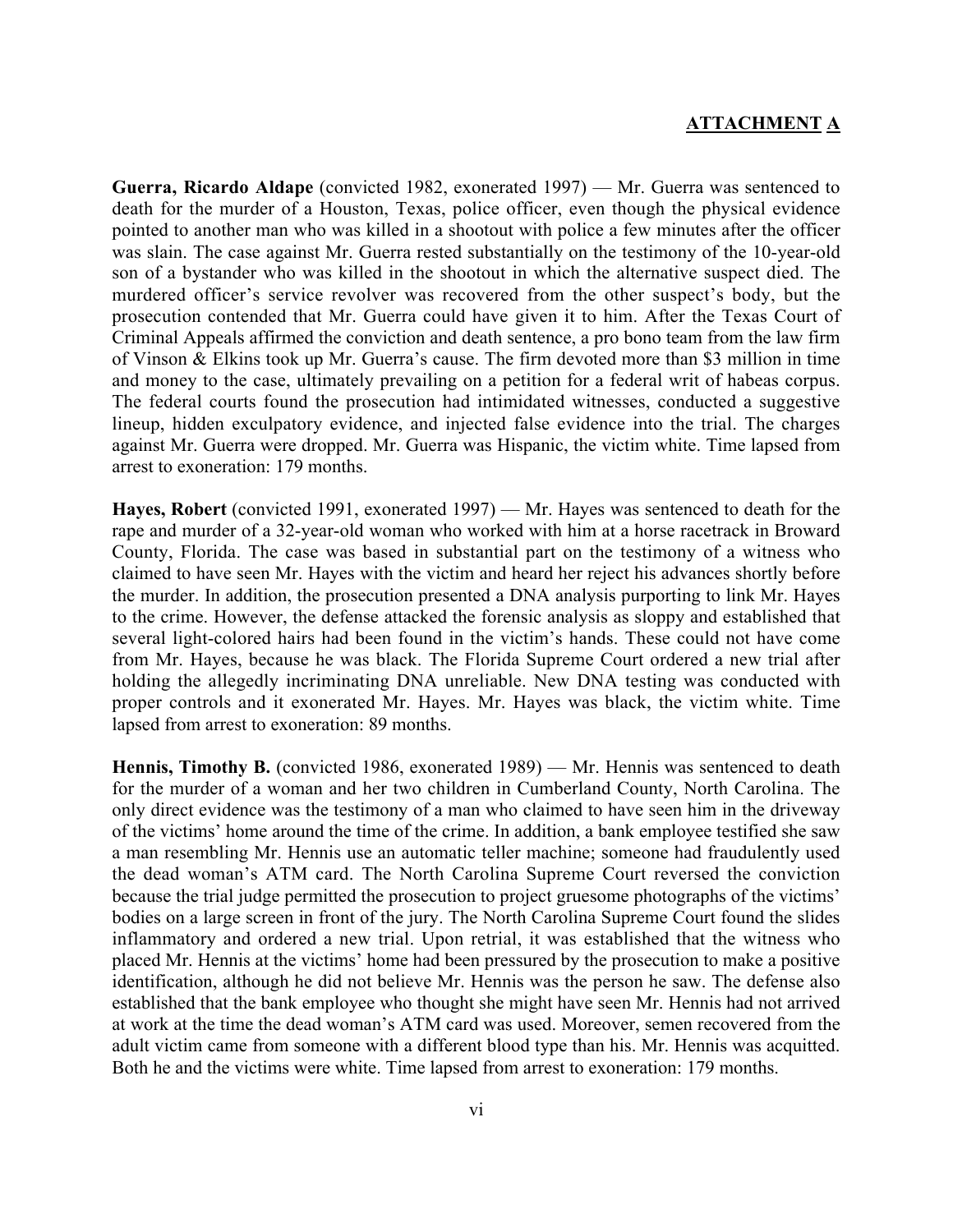**Guerra, Ricardo Aldape** (convicted 1982, exonerated 1997) — Mr. Guerra was sentenced to death for the murder of a Houston, Texas, police officer, even though the physical evidence pointed to another man who was killed in a shootout with police a few minutes after the officer was slain. The case against Mr. Guerra rested substantially on the testimony of the 10-year-old son of a bystander who was killed in the shootout in which the alternative suspect died. The murdered officer's service revolver was recovered from the other suspect's body, but the prosecution contended that Mr. Guerra could have given it to him. After the Texas Court of Criminal Appeals affirmed the conviction and death sentence, a pro bono team from the law firm of Vinson & Elkins took up Mr. Guerra's cause. The firm devoted more than \$3 million in time and money to the case, ultimately prevailing on a petition for a federal writ of habeas corpus. The federal courts found the prosecution had intimidated witnesses, conducted a suggestive lineup, hidden exculpatory evidence, and injected false evidence into the trial. The charges against Mr. Guerra were dropped. Mr. Guerra was Hispanic, the victim white. Time lapsed from arrest to exoneration: 179 months.

**Hayes, Robert** (convicted 1991, exonerated 1997) — Mr. Hayes was sentenced to death for the rape and murder of a 32-year-old woman who worked with him at a horse racetrack in Broward County, Florida. The case was based in substantial part on the testimony of a witness who claimed to have seen Mr. Hayes with the victim and heard her reject his advances shortly before the murder. In addition, the prosecution presented a DNA analysis purporting to link Mr. Hayes to the crime. However, the defense attacked the forensic analysis as sloppy and established that several light-colored hairs had been found in the victim's hands. These could not have come from Mr. Hayes, because he was black. The Florida Supreme Court ordered a new trial after holding the allegedly incriminating DNA unreliable. New DNA testing was conducted with proper controls and it exonerated Mr. Hayes. Mr. Hayes was black, the victim white. Time lapsed from arrest to exoneration: 89 months.

**Hennis, Timothy B.** (convicted 1986, exonerated 1989) — Mr. Hennis was sentenced to death for the murder of a woman and her two children in Cumberland County, North Carolina. The only direct evidence was the testimony of a man who claimed to have seen him in the driveway of the victims' home around the time of the crime. In addition, a bank employee testified she saw a man resembling Mr. Hennis use an automatic teller machine; someone had fraudulently used the dead woman's ATM card. The North Carolina Supreme Court reversed the conviction because the trial judge permitted the prosecution to project gruesome photographs of the victims' bodies on a large screen in front of the jury. The North Carolina Supreme Court found the slides inflammatory and ordered a new trial. Upon retrial, it was established that the witness who placed Mr. Hennis at the victims' home had been pressured by the prosecution to make a positive identification, although he did not believe Mr. Hennis was the person he saw. The defense also established that the bank employee who thought she might have seen Mr. Hennis had not arrived at work at the time the dead woman's ATM card was used. Moreover, semen recovered from the adult victim came from someone with a different blood type than his. Mr. Hennis was acquitted. Both he and the victims were white. Time lapsed from arrest to exoneration: 179 months.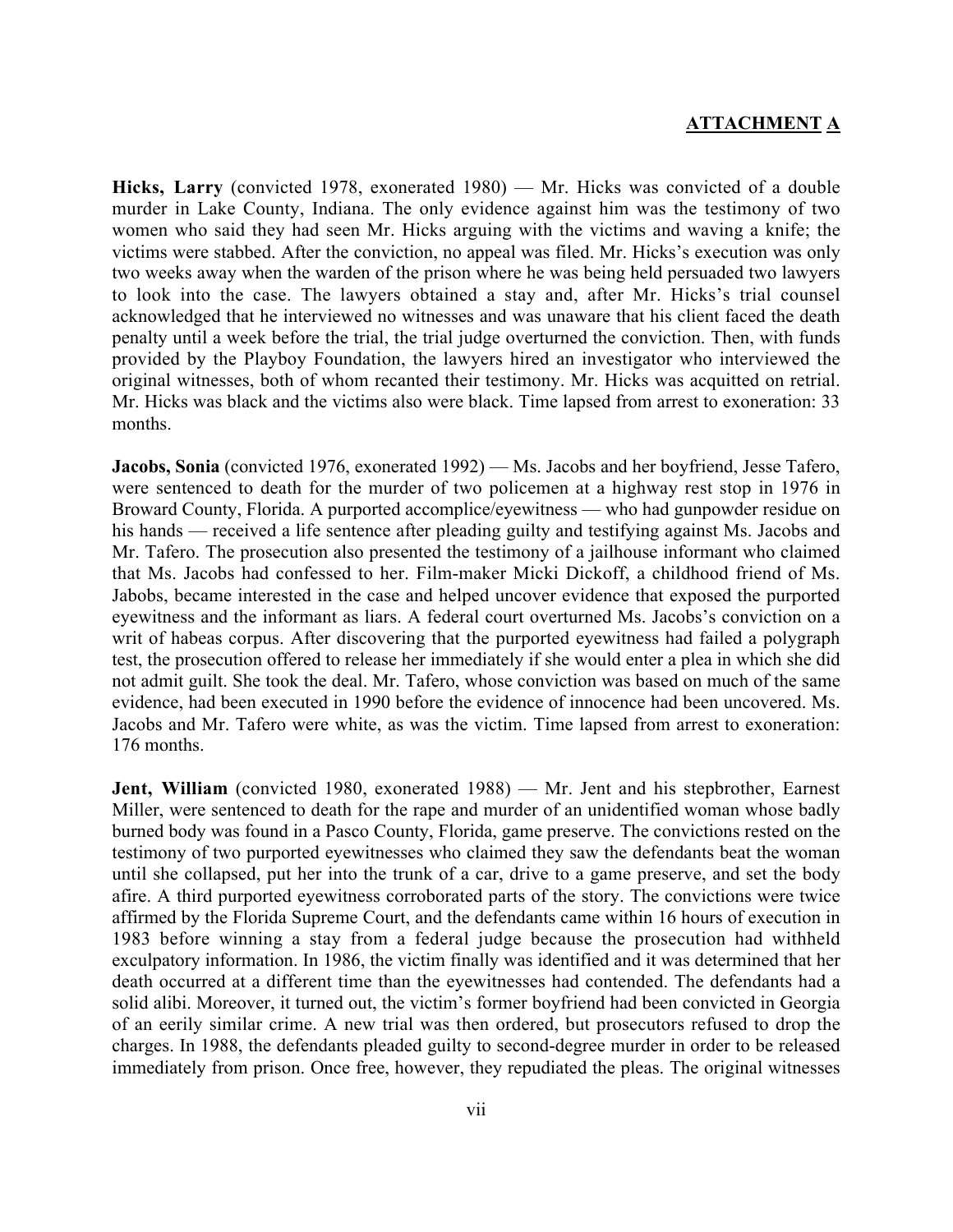**Hicks, Larry** (convicted 1978, exonerated 1980) — Mr. Hicks was convicted of a double murder in Lake County, Indiana. The only evidence against him was the testimony of two women who said they had seen Mr. Hicks arguing with the victims and waving a knife; the victims were stabbed. After the conviction, no appeal was filed. Mr. Hicks's execution was only two weeks away when the warden of the prison where he was being held persuaded two lawyers to look into the case. The lawyers obtained a stay and, after Mr. Hicks's trial counsel acknowledged that he interviewed no witnesses and was unaware that his client faced the death penalty until a week before the trial, the trial judge overturned the conviction. Then, with funds provided by the Playboy Foundation, the lawyers hired an investigator who interviewed the original witnesses, both of whom recanted their testimony. Mr. Hicks was acquitted on retrial. Mr. Hicks was black and the victims also were black. Time lapsed from arrest to exoneration: 33 months.

**Jacobs, Sonia** (convicted 1976, exonerated 1992) — Ms. Jacobs and her boyfriend, Jesse Tafero, were sentenced to death for the murder of two policemen at a highway rest stop in 1976 in Broward County, Florida. A purported accomplice/eyewitness — who had gunpowder residue on his hands — received a life sentence after pleading guilty and testifying against Ms. Jacobs and Mr. Tafero. The prosecution also presented the testimony of a jailhouse informant who claimed that Ms. Jacobs had confessed to her. Film-maker Micki Dickoff, a childhood friend of Ms. Jabobs, became interested in the case and helped uncover evidence that exposed the purported eyewitness and the informant as liars. A federal court overturned Ms. Jacobs's conviction on a writ of habeas corpus. After discovering that the purported eyewitness had failed a polygraph test, the prosecution offered to release her immediately if she would enter a plea in which she did not admit guilt. She took the deal. Mr. Tafero, whose conviction was based on much of the same evidence, had been executed in 1990 before the evidence of innocence had been uncovered. Ms. Jacobs and Mr. Tafero were white, as was the victim. Time lapsed from arrest to exoneration: 176 months.

**Jent, William** (convicted 1980, exonerated 1988) — Mr. Jent and his stepbrother, Earnest Miller, were sentenced to death for the rape and murder of an unidentified woman whose badly burned body was found in a Pasco County, Florida, game preserve. The convictions rested on the testimony of two purported eyewitnesses who claimed they saw the defendants beat the woman until she collapsed, put her into the trunk of a car, drive to a game preserve, and set the body afire. A third purported eyewitness corroborated parts of the story. The convictions were twice affirmed by the Florida Supreme Court, and the defendants came within 16 hours of execution in 1983 before winning a stay from a federal judge because the prosecution had withheld exculpatory information. In 1986, the victim finally was identified and it was determined that her death occurred at a different time than the eyewitnesses had contended. The defendants had a solid alibi. Moreover, it turned out, the victim's former boyfriend had been convicted in Georgia of an eerily similar crime. A new trial was then ordered, but prosecutors refused to drop the charges. In 1988, the defendants pleaded guilty to second-degree murder in order to be released immediately from prison. Once free, however, they repudiated the pleas. The original witnesses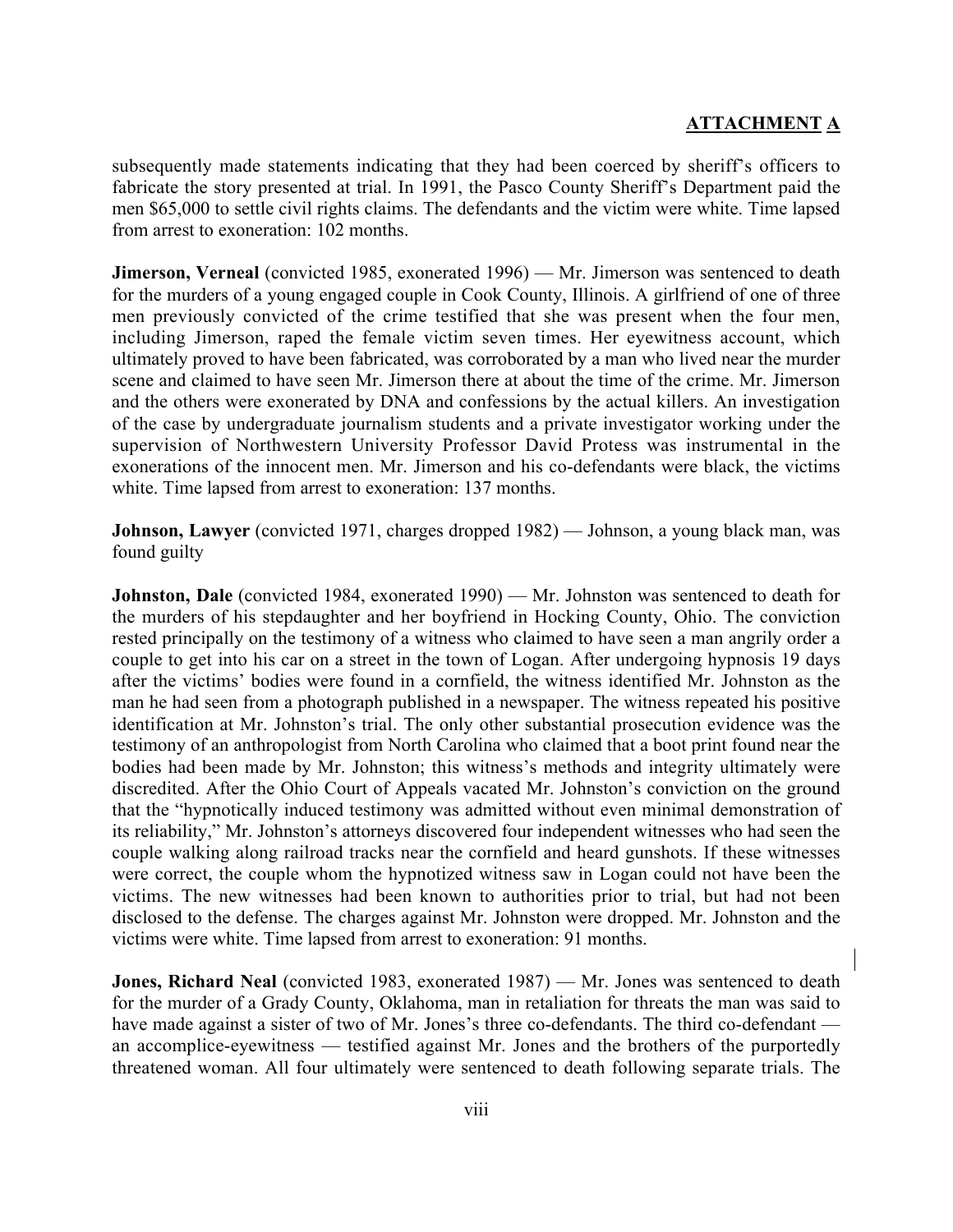subsequently made statements indicating that they had been coerced by sheriff's officers to fabricate the story presented at trial. In 1991, the Pasco County Sheriff's Department paid the men \$65,000 to settle civil rights claims. The defendants and the victim were white. Time lapsed from arrest to exoneration: 102 months.

**Jimerson, Verneal** (convicted 1985, exonerated 1996) — Mr. Jimerson was sentenced to death for the murders of a young engaged couple in Cook County, Illinois. A girlfriend of one of three men previously convicted of the crime testified that she was present when the four men, including Jimerson, raped the female victim seven times. Her eyewitness account, which ultimately proved to have been fabricated, was corroborated by a man who lived near the murder scene and claimed to have seen Mr. Jimerson there at about the time of the crime. Mr. Jimerson and the others were exonerated by DNA and confessions by the actual killers. An investigation of the case by undergraduate journalism students and a private investigator working under the supervision of Northwestern University Professor David Protess was instrumental in the exonerations of the innocent men. Mr. Jimerson and his co-defendants were black, the victims white. Time lapsed from arrest to exoneration: 137 months.

**Johnson, Lawyer** (convicted 1971, charges dropped 1982) — Johnson, a young black man, was found guilty

**Johnston, Dale** (convicted 1984, exonerated 1990) — Mr. Johnston was sentenced to death for the murders of his stepdaughter and her boyfriend in Hocking County, Ohio. The conviction rested principally on the testimony of a witness who claimed to have seen a man angrily order a couple to get into his car on a street in the town of Logan. After undergoing hypnosis 19 days after the victims' bodies were found in a cornfield, the witness identified Mr. Johnston as the man he had seen from a photograph published in a newspaper. The witness repeated his positive identification at Mr. Johnston's trial. The only other substantial prosecution evidence was the testimony of an anthropologist from North Carolina who claimed that a boot print found near the bodies had been made by Mr. Johnston; this witness's methods and integrity ultimately were discredited. After the Ohio Court of Appeals vacated Mr. Johnston's conviction on the ground that the "hypnotically induced testimony was admitted without even minimal demonstration of its reliability," Mr. Johnston's attorneys discovered four independent witnesses who had seen the couple walking along railroad tracks near the cornfield and heard gunshots. If these witnesses were correct, the couple whom the hypnotized witness saw in Logan could not have been the victims. The new witnesses had been known to authorities prior to trial, but had not been disclosed to the defense. The charges against Mr. Johnston were dropped. Mr. Johnston and the victims were white. Time lapsed from arrest to exoneration: 91 months.

**Jones, Richard Neal** (convicted 1983, exonerated 1987) — Mr. Jones was sentenced to death for the murder of a Grady County, Oklahoma, man in retaliation for threats the man was said to have made against a sister of two of Mr. Jones's three co-defendants. The third co-defendant an accomplice-eyewitness — testified against Mr. Jones and the brothers of the purportedly threatened woman. All four ultimately were sentenced to death following separate trials. The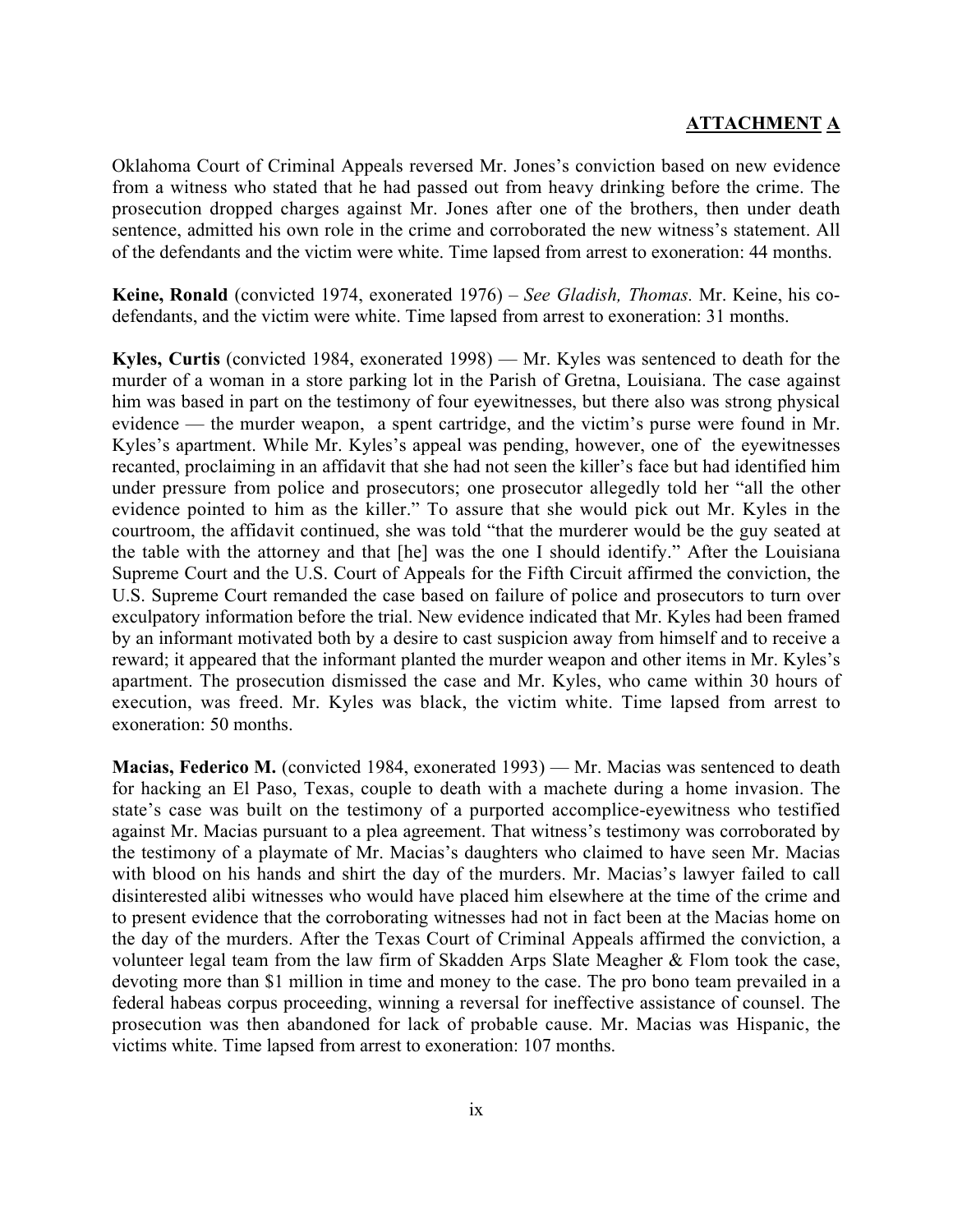Oklahoma Court of Criminal Appeals reversed Mr. Jones's conviction based on new evidence from a witness who stated that he had passed out from heavy drinking before the crime. The prosecution dropped charges against Mr. Jones after one of the brothers, then under death sentence, admitted his own role in the crime and corroborated the new witness's statement. All of the defendants and the victim were white. Time lapsed from arrest to exoneration: 44 months.

**Keine, Ronald** (convicted 1974, exonerated 1976) – *See Gladish, Thomas.* Mr. Keine, his codefendants, and the victim were white. Time lapsed from arrest to exoneration: 31 months.

**Kyles, Curtis** (convicted 1984, exonerated 1998) — Mr. Kyles was sentenced to death for the murder of a woman in a store parking lot in the Parish of Gretna, Louisiana. The case against him was based in part on the testimony of four eyewitnesses, but there also was strong physical evidence — the murder weapon, a spent cartridge, and the victim's purse were found in Mr. Kyles's apartment. While Mr. Kyles's appeal was pending, however, one of the eyewitnesses recanted, proclaiming in an affidavit that she had not seen the killer's face but had identified him under pressure from police and prosecutors; one prosecutor allegedly told her "all the other evidence pointed to him as the killer." To assure that she would pick out Mr. Kyles in the courtroom, the affidavit continued, she was told "that the murderer would be the guy seated at the table with the attorney and that [he] was the one I should identify." After the Louisiana Supreme Court and the U.S. Court of Appeals for the Fifth Circuit affirmed the conviction, the U.S. Supreme Court remanded the case based on failure of police and prosecutors to turn over exculpatory information before the trial. New evidence indicated that Mr. Kyles had been framed by an informant motivated both by a desire to cast suspicion away from himself and to receive a reward; it appeared that the informant planted the murder weapon and other items in Mr. Kyles's apartment. The prosecution dismissed the case and Mr. Kyles, who came within 30 hours of execution, was freed. Mr. Kyles was black, the victim white. Time lapsed from arrest to exoneration: 50 months.

**Macias, Federico M.** (convicted 1984, exonerated 1993) — Mr. Macias was sentenced to death for hacking an El Paso, Texas, couple to death with a machete during a home invasion. The state's case was built on the testimony of a purported accomplice-eyewitness who testified against Mr. Macias pursuant to a plea agreement. That witness's testimony was corroborated by the testimony of a playmate of Mr. Macias's daughters who claimed to have seen Mr. Macias with blood on his hands and shirt the day of the murders. Mr. Macias's lawyer failed to call disinterested alibi witnesses who would have placed him elsewhere at the time of the crime and to present evidence that the corroborating witnesses had not in fact been at the Macias home on the day of the murders. After the Texas Court of Criminal Appeals affirmed the conviction, a volunteer legal team from the law firm of Skadden Arps Slate Meagher & Flom took the case, devoting more than \$1 million in time and money to the case. The pro bono team prevailed in a federal habeas corpus proceeding, winning a reversal for ineffective assistance of counsel. The prosecution was then abandoned for lack of probable cause. Mr. Macias was Hispanic, the victims white. Time lapsed from arrest to exoneration: 107 months.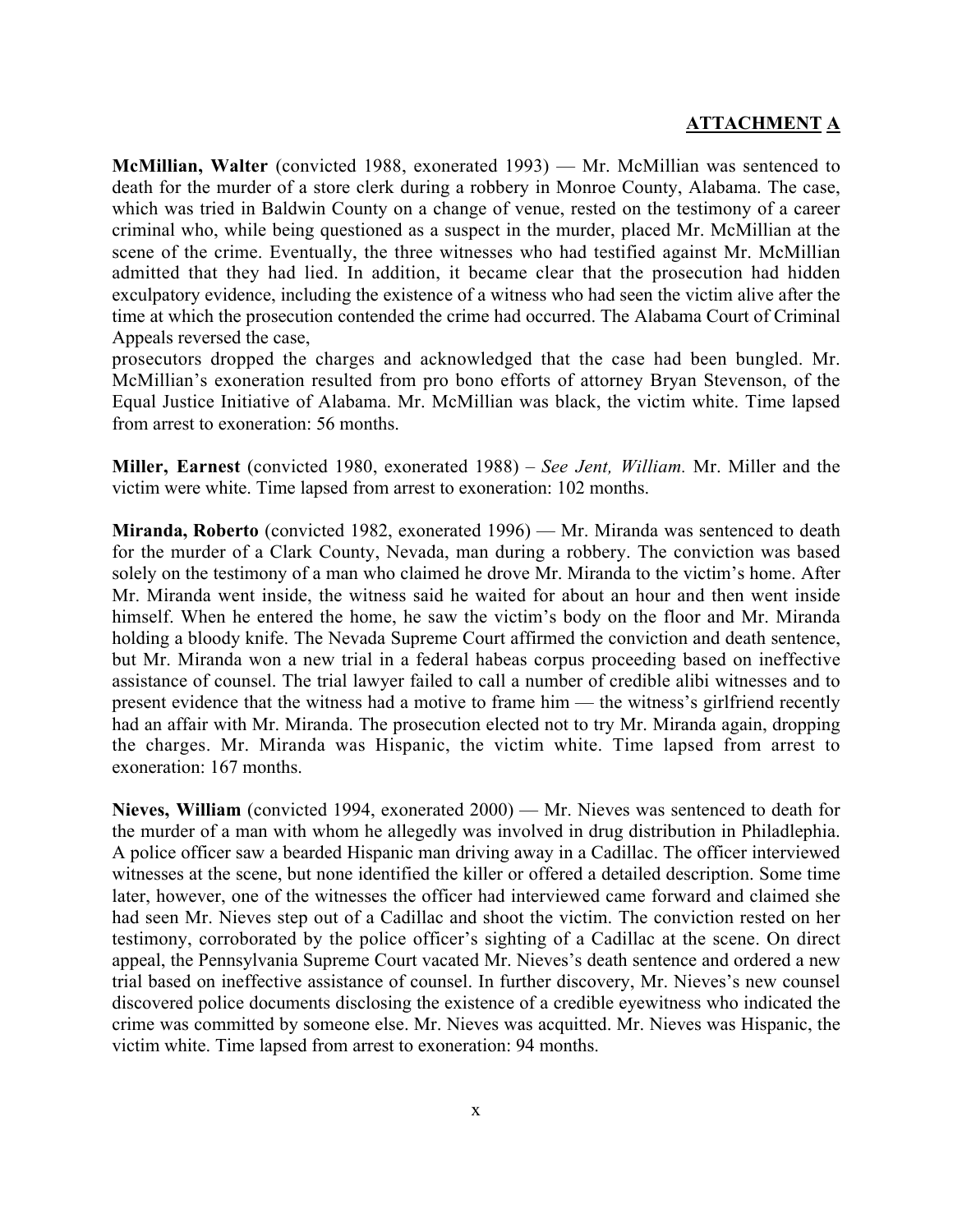**McMillian, Walter** (convicted 1988, exonerated 1993) — Mr. McMillian was sentenced to death for the murder of a store clerk during a robbery in Monroe County, Alabama. The case, which was tried in Baldwin County on a change of venue, rested on the testimony of a career criminal who, while being questioned as a suspect in the murder, placed Mr. McMillian at the scene of the crime. Eventually, the three witnesses who had testified against Mr. McMillian admitted that they had lied. In addition, it became clear that the prosecution had hidden exculpatory evidence, including the existence of a witness who had seen the victim alive after the time at which the prosecution contended the crime had occurred. The Alabama Court of Criminal Appeals reversed the case,

prosecutors dropped the charges and acknowledged that the case had been bungled. Mr. McMillian's exoneration resulted from pro bono efforts of attorney Bryan Stevenson, of the Equal Justice Initiative of Alabama. Mr. McMillian was black, the victim white. Time lapsed from arrest to exoneration: 56 months.

**Miller, Earnest** (convicted 1980, exonerated 1988) – *See Jent, William.* Mr. Miller and the victim were white. Time lapsed from arrest to exoneration: 102 months.

**Miranda, Roberto** (convicted 1982, exonerated 1996) — Mr. Miranda was sentenced to death for the murder of a Clark County, Nevada, man during a robbery. The conviction was based solely on the testimony of a man who claimed he drove Mr. Miranda to the victim's home. After Mr. Miranda went inside, the witness said he waited for about an hour and then went inside himself. When he entered the home, he saw the victim's body on the floor and Mr. Miranda holding a bloody knife. The Nevada Supreme Court affirmed the conviction and death sentence, but Mr. Miranda won a new trial in a federal habeas corpus proceeding based on ineffective assistance of counsel. The trial lawyer failed to call a number of credible alibi witnesses and to present evidence that the witness had a motive to frame him — the witness's girlfriend recently had an affair with Mr. Miranda. The prosecution elected not to try Mr. Miranda again, dropping the charges. Mr. Miranda was Hispanic, the victim white. Time lapsed from arrest to exoneration: 167 months.

**Nieves, William** (convicted 1994, exonerated 2000) — Mr. Nieves was sentenced to death for the murder of a man with whom he allegedly was involved in drug distribution in Philadlephia. A police officer saw a bearded Hispanic man driving away in a Cadillac. The officer interviewed witnesses at the scene, but none identified the killer or offered a detailed description. Some time later, however, one of the witnesses the officer had interviewed came forward and claimed she had seen Mr. Nieves step out of a Cadillac and shoot the victim. The conviction rested on her testimony, corroborated by the police officer's sighting of a Cadillac at the scene. On direct appeal, the Pennsylvania Supreme Court vacated Mr. Nieves's death sentence and ordered a new trial based on ineffective assistance of counsel. In further discovery, Mr. Nieves's new counsel discovered police documents disclosing the existence of a credible eyewitness who indicated the crime was committed by someone else. Mr. Nieves was acquitted. Mr. Nieves was Hispanic, the victim white. Time lapsed from arrest to exoneration: 94 months.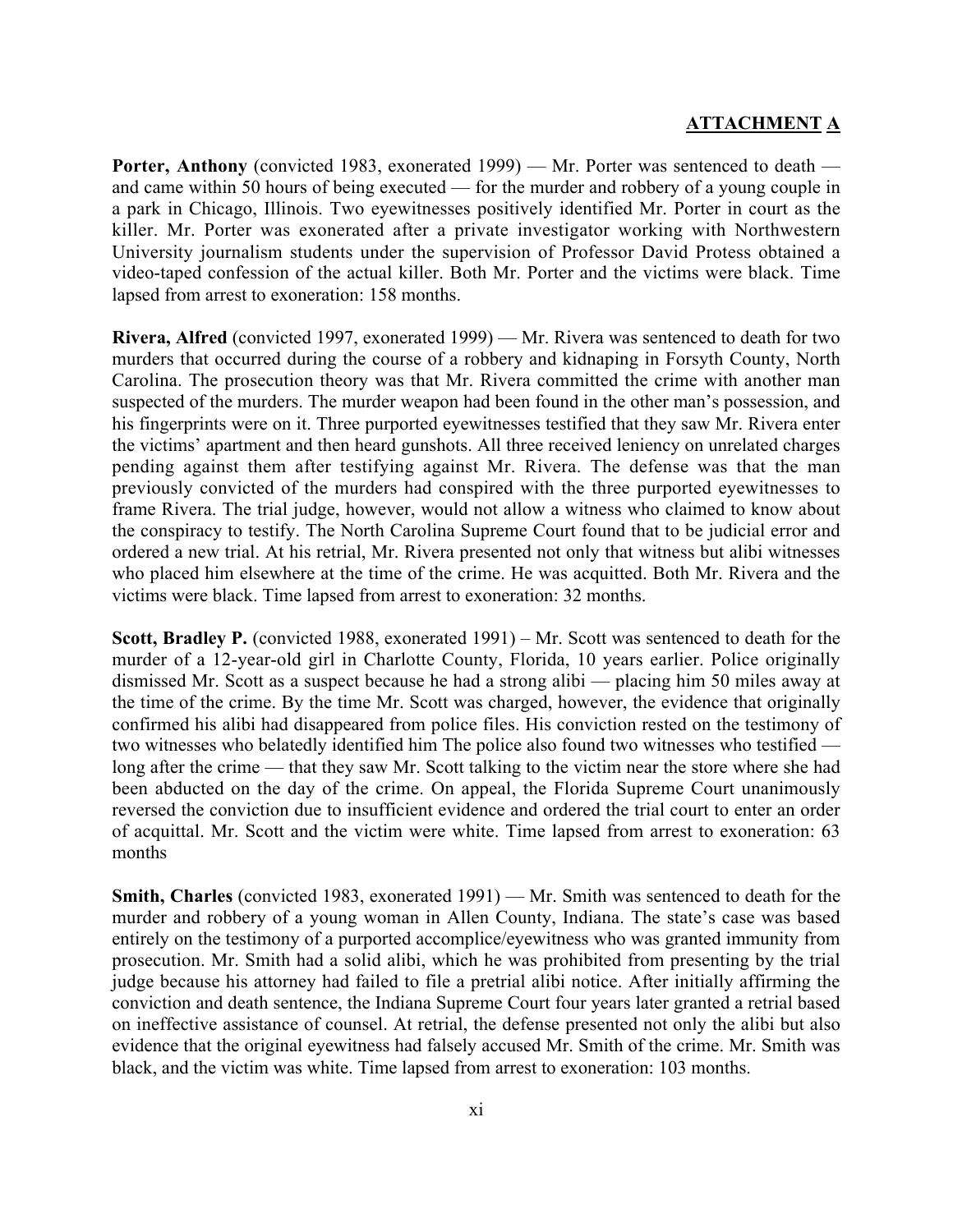**Porter, Anthony** (convicted 1983, exonerated 1999) — Mr. Porter was sentenced to death and came within 50 hours of being executed — for the murder and robbery of a young couple in a park in Chicago, Illinois. Two eyewitnesses positively identified Mr. Porter in court as the killer. Mr. Porter was exonerated after a private investigator working with Northwestern University journalism students under the supervision of Professor David Protess obtained a video-taped confession of the actual killer. Both Mr. Porter and the victims were black. Time lapsed from arrest to exoneration: 158 months.

**Rivera, Alfred** (convicted 1997, exonerated 1999) — Mr. Rivera was sentenced to death for two murders that occurred during the course of a robbery and kidnaping in Forsyth County, North Carolina. The prosecution theory was that Mr. Rivera committed the crime with another man suspected of the murders. The murder weapon had been found in the other man's possession, and his fingerprints were on it. Three purported eyewitnesses testified that they saw Mr. Rivera enter the victims' apartment and then heard gunshots. All three received leniency on unrelated charges pending against them after testifying against Mr. Rivera. The defense was that the man previously convicted of the murders had conspired with the three purported eyewitnesses to frame Rivera. The trial judge, however, would not allow a witness who claimed to know about the conspiracy to testify. The North Carolina Supreme Court found that to be judicial error and ordered a new trial. At his retrial, Mr. Rivera presented not only that witness but alibi witnesses who placed him elsewhere at the time of the crime. He was acquitted. Both Mr. Rivera and the victims were black. Time lapsed from arrest to exoneration: 32 months.

**Scott, Bradley P.** (convicted 1988, exonerated 1991) – Mr. Scott was sentenced to death for the murder of a 12-year-old girl in Charlotte County, Florida, 10 years earlier. Police originally dismissed Mr. Scott as a suspect because he had a strong alibi — placing him 50 miles away at the time of the crime. By the time Mr. Scott was charged, however, the evidence that originally confirmed his alibi had disappeared from police files. His conviction rested on the testimony of two witnesses who belatedly identified him The police also found two witnesses who testified long after the crime — that they saw Mr. Scott talking to the victim near the store where she had been abducted on the day of the crime. On appeal, the Florida Supreme Court unanimously reversed the conviction due to insufficient evidence and ordered the trial court to enter an order of acquittal. Mr. Scott and the victim were white. Time lapsed from arrest to exoneration: 63 months

**Smith, Charles** (convicted 1983, exonerated 1991) — Mr. Smith was sentenced to death for the murder and robbery of a young woman in Allen County, Indiana. The state's case was based entirely on the testimony of a purported accomplice/eyewitness who was granted immunity from prosecution. Mr. Smith had a solid alibi, which he was prohibited from presenting by the trial judge because his attorney had failed to file a pretrial alibi notice. After initially affirming the conviction and death sentence, the Indiana Supreme Court four years later granted a retrial based on ineffective assistance of counsel. At retrial, the defense presented not only the alibi but also evidence that the original eyewitness had falsely accused Mr. Smith of the crime. Mr. Smith was black, and the victim was white. Time lapsed from arrest to exoneration: 103 months.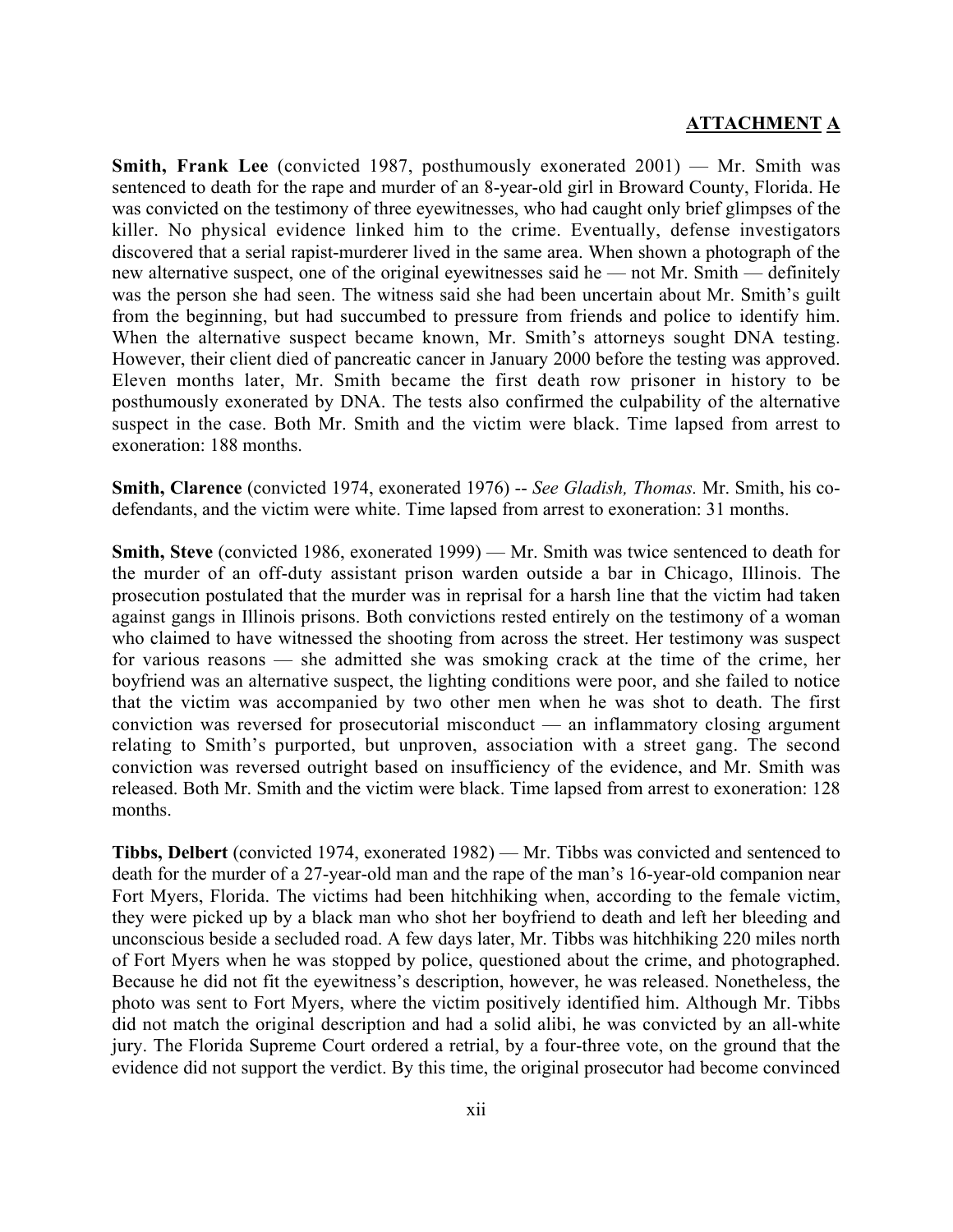**Smith, Frank Lee** (convicted 1987, posthumously exonerated 2001) — Mr. Smith was sentenced to death for the rape and murder of an 8-year-old girl in Broward County, Florida. He was convicted on the testimony of three eyewitnesses, who had caught only brief glimpses of the killer. No physical evidence linked him to the crime. Eventually, defense investigators discovered that a serial rapist-murderer lived in the same area. When shown a photograph of the new alternative suspect, one of the original eyewitnesses said he — not Mr. Smith — definitely was the person she had seen. The witness said she had been uncertain about Mr. Smith's guilt from the beginning, but had succumbed to pressure from friends and police to identify him. When the alternative suspect became known, Mr. Smith's attorneys sought DNA testing. However, their client died of pancreatic cancer in January 2000 before the testing was approved. Eleven months later, Mr. Smith became the first death row prisoner in history to be posthumously exonerated by DNA. The tests also confirmed the culpability of the alternative suspect in the case. Both Mr. Smith and the victim were black. Time lapsed from arrest to exoneration: 188 months.

**Smith, Clarence** (convicted 1974, exonerated 1976) -- *See Gladish, Thomas.* Mr. Smith, his codefendants, and the victim were white. Time lapsed from arrest to exoneration: 31 months.

**Smith, Steve** (convicted 1986, exonerated 1999) — Mr. Smith was twice sentenced to death for the murder of an off-duty assistant prison warden outside a bar in Chicago, Illinois. The prosecution postulated that the murder was in reprisal for a harsh line that the victim had taken against gangs in Illinois prisons. Both convictions rested entirely on the testimony of a woman who claimed to have witnessed the shooting from across the street. Her testimony was suspect for various reasons — she admitted she was smoking crack at the time of the crime, her boyfriend was an alternative suspect, the lighting conditions were poor, and she failed to notice that the victim was accompanied by two other men when he was shot to death. The first conviction was reversed for prosecutorial misconduct — an inflammatory closing argument relating to Smith's purported, but unproven, association with a street gang. The second conviction was reversed outright based on insufficiency of the evidence, and Mr. Smith was released. Both Mr. Smith and the victim were black. Time lapsed from arrest to exoneration: 128 months.

**Tibbs, Delbert** (convicted 1974, exonerated 1982) — Mr. Tibbs was convicted and sentenced to death for the murder of a 27-year-old man and the rape of the man's 16-year-old companion near Fort Myers, Florida. The victims had been hitchhiking when, according to the female victim, they were picked up by a black man who shot her boyfriend to death and left her bleeding and unconscious beside a secluded road. A few days later, Mr. Tibbs was hitchhiking 220 miles north of Fort Myers when he was stopped by police, questioned about the crime, and photographed. Because he did not fit the eyewitness's description, however, he was released. Nonetheless, the photo was sent to Fort Myers, where the victim positively identified him. Although Mr. Tibbs did not match the original description and had a solid alibi, he was convicted by an all-white jury. The Florida Supreme Court ordered a retrial, by a four-three vote, on the ground that the evidence did not support the verdict. By this time, the original prosecutor had become convinced